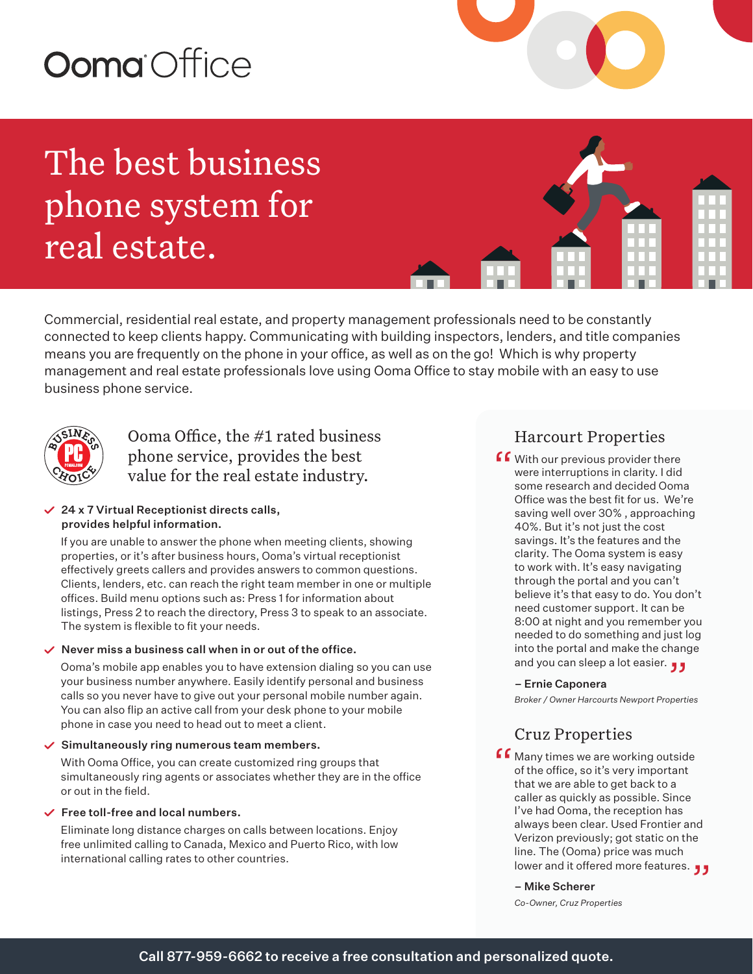# Ooma Office

The best business phone system for real estate.

Commercial, residential real estate, and property management professionals need to be constantly connected to keep clients happy. Communicating with building inspectors, lenders, and title companies means you are frequently on the phone in your office, as well as on the go! Which is why property management and real estate professionals love using Ooma Office to stay mobile with an easy to use business phone service.



Ooma Office, the #1 rated business phone service, provides the best value for the real estate industry.

### $\angle$  24 x 7 Virtual Receptionist directs calls, provides helpful information.

If you are unable to answer the phone when meeting clients, showing properties, or it's after business hours, Ooma's virtual receptionist effectively greets callers and provides answers to common questions. Clients, lenders, etc. can reach the right team member in one or multiple offices. Build menu options such as: Press 1 for information about listings, Press 2 to reach the directory, Press 3 to speak to an associate. The system is flexible to fit your needs.

#### $\vee$  Never miss a business call when in or out of the office.

Ooma's mobile app enables you to have extension dialing so you can use your business number anywhere. Easily identify personal and business calls so you never have to give out your personal mobile number again. You can also flip an active call from your desk phone to your mobile phone in case you need to head out to meet a client.

#### $\checkmark$  Simultaneously ring numerous team members.

With Ooma Office, you can create customized ring groups that simultaneously ring agents or associates whether they are in the office or out in the field.

#### $\checkmark$  Free toll-free and local numbers.

Eliminate long distance charges on calls between locations. Enjoy free unlimited calling to Canada, Mexico and Puerto Rico, with low international calling rates to other countries.

## Harcourt Properties

**f With our previous provider there**<br>were interruptions in clarity. I did<br>some research and decided Oom were interruptions in clarity. I did some research and decided Ooma Office was the best fit for us. We're saving well over 30% , approaching 40%. But it's not just the cost savings. It's the features and the clarity. The Ooma system is easy to work with. It's easy navigating through the portal and you can't believe it's that easy to do. You don't need customer support. It can be 8:00 at night and you remember you needed to do something and just log into the portal and make the change into the portal and make the chang<br>**و ر** and you can sleep a lot easier.

#### – Ernie Caponera

*Broker / Owner Harcourts Newport Properties* 

## Cruz Properties

**f** Many times we are working outside<br>of the office, so it's very important<br>that we are able to get back to a of the office, so it's very important that we are able to get back to a caller as quickly as possible. Since I've had Ooma, the reception has always been clear. Used Frontier and Verizon previously; got static on the line. The (Ooma) price was much line. The (Ooma) price was much<br>lower and it offered more features. ڕ• •

– Mike Scherer

*Co-Owner, Cruz Properties*